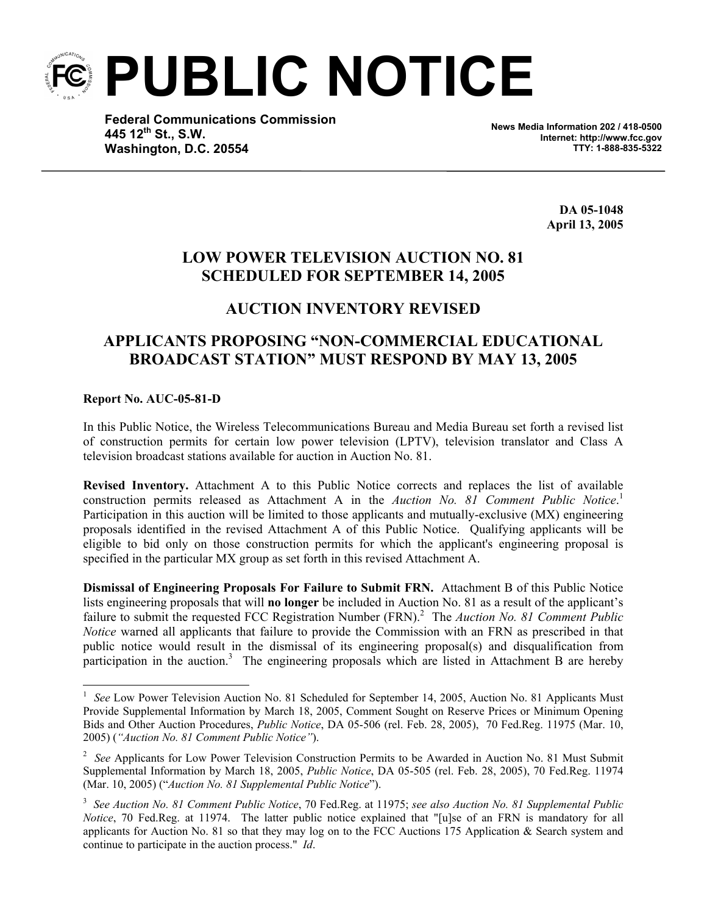**PUBLIC NOTICE** 

**Federal Communications Commission 445 12th St., S.W. Washington, D.C. 20554**

**News Media Information 202 / 418-0500 Internet: http://www.fcc.gov TTY: 1-888-835-5322**

> **DA 05-1048 April 13, 2005**

## **LOW POWER TELEVISION AUCTION NO. 81 SCHEDULED FOR SEPTEMBER 14, 2005**

## **AUCTION INVENTORY REVISED**

## **APPLICANTS PROPOSING "NON-COMMERCIAL EDUCATIONAL BROADCAST STATION" MUST RESPOND BY MAY 13, 2005**

## **Report No. AUC-05-81-D**

1

In this Public Notice, the Wireless Telecommunications Bureau and Media Bureau set forth a revised list of construction permits for certain low power television (LPTV), television translator and Class A television broadcast stations available for auction in Auction No. 81.

**Revised Inventory.** Attachment A to this Public Notice corrects and replaces the list of available construction permits released as Attachment A in the *Auction No. 81 Comment Public Notice*. 1 Participation in this auction will be limited to those applicants and mutually-exclusive (MX) engineering proposals identified in the revised Attachment A of this Public Notice. Qualifying applicants will be eligible to bid only on those construction permits for which the applicant's engineering proposal is specified in the particular MX group as set forth in this revised Attachment A.

**Dismissal of Engineering Proposals For Failure to Submit FRN.** Attachment B of this Public Notice lists engineering proposals that will **no longer** be included in Auction No. 81 as a result of the applicant's failure to submit the requested FCC Registration Number (FRN).<sup>2</sup> The *Auction No. 81 Comment Public Notice* warned all applicants that failure to provide the Commission with an FRN as prescribed in that public notice would result in the dismissal of its engineering proposal(s) and disqualification from participation in the auction.<sup>3</sup> The engineering proposals which are listed in Attachment B are hereby

<sup>&</sup>lt;sup>1</sup> See Low Power Television Auction No. 81 Scheduled for September 14, 2005, Auction No. 81 Applicants Must Provide Supplemental Information by March 18, 2005, Comment Sought on Reserve Prices or Minimum Opening Bids and Other Auction Procedures, *Public Notice*, DA 05-506 (rel. Feb. 28, 2005), 70 Fed.Reg. 11975 (Mar. 10, 2005) (*"Auction No. 81 Comment Public Notice"*).

<sup>&</sup>lt;sup>2</sup> See Applicants for Low Power Television Construction Permits to be Awarded in Auction No. 81 Must Submit Supplemental Information by March 18, 2005, *Public Notice*, DA 05-505 (rel. Feb. 28, 2005), 70 Fed.Reg. 11974 (Mar. 10, 2005) ("*Auction No. 81 Supplemental Public Notice*").

<sup>3</sup> *See Auction No. 81 Comment Public Notice*, 70 Fed.Reg. at 11975; *see also Auction No. 81 Supplemental Public Notice*, 70 Fed.Reg. at 11974. The latter public notice explained that "[u]se of an FRN is mandatory for all applicants for Auction No. 81 so that they may log on to the FCC Auctions 175 Application & Search system and continue to participate in the auction process." *Id*.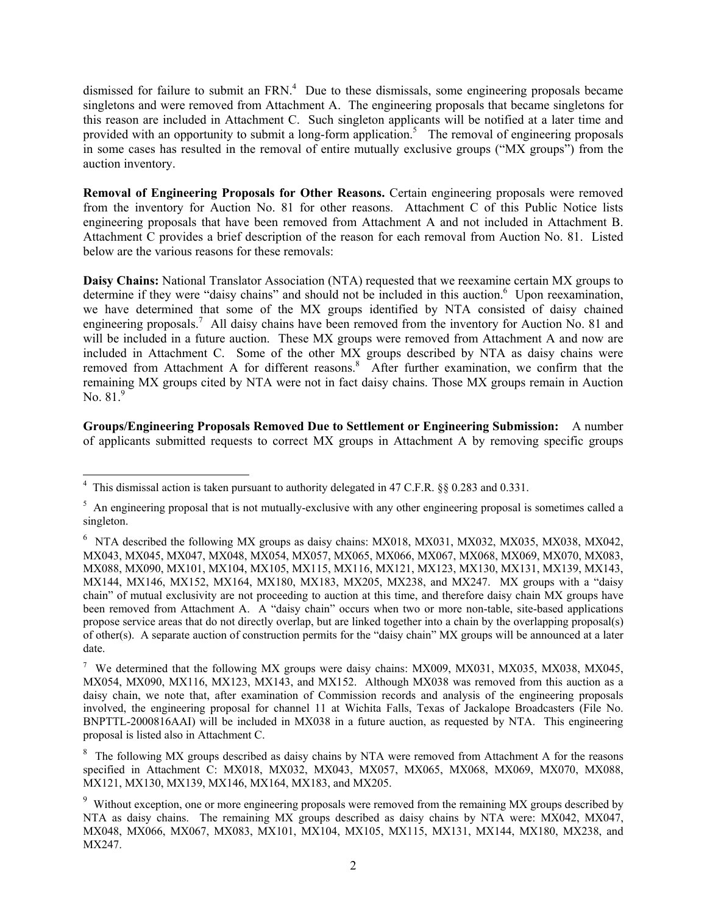dismissed for failure to submit an  $FRN<sup>4</sup>$  Due to these dismissals, some engineering proposals became singletons and were removed from Attachment A. The engineering proposals that became singletons for this reason are included in Attachment C. Such singleton applicants will be notified at a later time and provided with an opportunity to submit a long-form application.<sup>5</sup> The removal of engineering proposals in some cases has resulted in the removal of entire mutually exclusive groups ("MX groups") from the auction inventory.

**Removal of Engineering Proposals for Other Reasons.** Certain engineering proposals were removed from the inventory for Auction No. 81 for other reasons. Attachment C of this Public Notice lists engineering proposals that have been removed from Attachment A and not included in Attachment B. Attachment C provides a brief description of the reason for each removal from Auction No. 81. Listed below are the various reasons for these removals:

**Daisy Chains:** National Translator Association (NTA) requested that we reexamine certain MX groups to determine if they were "daisy chains" and should not be included in this auction.<sup>6</sup> Upon reexamination, we have determined that some of the MX groups identified by NTA consisted of daisy chained engineering proposals.<sup>7</sup> All daisy chains have been removed from the inventory for Auction No. 81 and will be included in a future auction. These MX groups were removed from Attachment A and now are included in Attachment C. Some of the other MX groups described by NTA as daisy chains were removed from Attachment A for different reasons.<sup>8</sup> After further examination, we confirm that the remaining MX groups cited by NTA were not in fact daisy chains. Those MX groups remain in Auction No.  $81<sup>9</sup>$ 

**Groups/Engineering Proposals Removed Due to Settlement or Engineering Submission:** A number of applicants submitted requests to correct MX groups in Attachment A by removing specific groups

 4 This dismissal action is taken pursuant to authority delegated in 47 C.F.R. §§ 0.283 and 0.331.

 $5$  An engineering proposal that is not mutually-exclusive with any other engineering proposal is sometimes called a singleton.

<sup>&</sup>lt;sup>6</sup> NTA described the following MX groups as daisy chains: MX018, MX031, MX032, MX035, MX038, MX042, MX043, MX045, MX047, MX048, MX054, MX057, MX065, MX066, MX067, MX068, MX069, MX070, MX083, MX088, MX090, MX101, MX104, MX105, MX115, MX116, MX121, MX123, MX130, MX131, MX139, MX143, MX144, MX146, MX152, MX164, MX180, MX183, MX205, MX238, and MX247. MX groups with a "daisy chain" of mutual exclusivity are not proceeding to auction at this time, and therefore daisy chain MX groups have been removed from Attachment A. A "daisy chain" occurs when two or more non-table, site-based applications propose service areas that do not directly overlap, but are linked together into a chain by the overlapping proposal(s) of other(s). A separate auction of construction permits for the "daisy chain" MX groups will be announced at a later date.

<sup>&</sup>lt;sup>7</sup> We determined that the following MX groups were daisy chains: MX009, MX031, MX035, MX038, MX045, MX054, MX090, MX116, MX123, MX143, and MX152. Although MX038 was removed from this auction as a daisy chain, we note that, after examination of Commission records and analysis of the engineering proposals involved, the engineering proposal for channel 11 at Wichita Falls, Texas of Jackalope Broadcasters (File No. BNPTTL-2000816AAI) will be included in MX038 in a future auction, as requested by NTA. This engineering proposal is listed also in Attachment C.

<sup>&</sup>lt;sup>8</sup> The following MX groups described as daisy chains by NTA were removed from Attachment A for the reasons specified in Attachment C: MX018, MX032, MX043, MX057, MX065, MX068, MX069, MX070, MX088, MX121, MX130, MX139, MX146, MX164, MX183, and MX205.

<sup>&</sup>lt;sup>9</sup> Without exception, one or more engineering proposals were removed from the remaining MX groups described by NTA as daisy chains. The remaining MX groups described as daisy chains by NTA were: MX042, MX047, MX048, MX066, MX067, MX083, MX101, MX104, MX105, MX115, MX131, MX144, MX180, MX238, and MX247.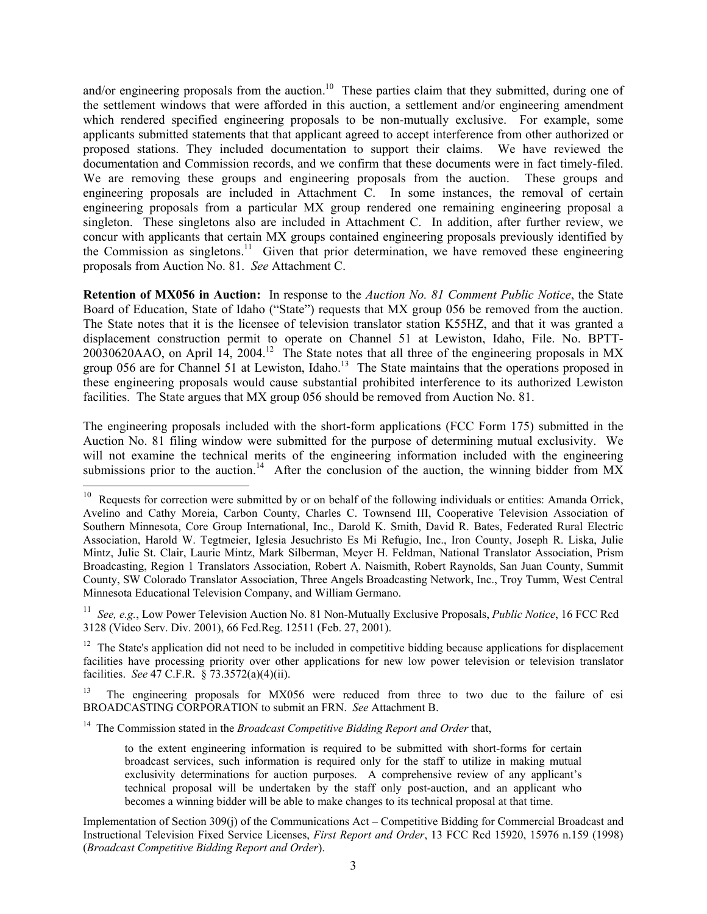and/or engineering proposals from the auction.<sup>10</sup> These parties claim that they submitted, during one of the settlement windows that were afforded in this auction, a settlement and/or engineering amendment which rendered specified engineering proposals to be non-mutually exclusive. For example, some applicants submitted statements that that applicant agreed to accept interference from other authorized or proposed stations. They included documentation to support their claims. We have reviewed the documentation and Commission records, and we confirm that these documents were in fact timely-filed. We are removing these groups and engineering proposals from the auction. These groups and engineering proposals are included in Attachment C. In some instances, the removal of certain engineering proposals from a particular MX group rendered one remaining engineering proposal a singleton. These singletons also are included in Attachment C. In addition, after further review, we concur with applicants that certain MX groups contained engineering proposals previously identified by the Commission as singletons.<sup>11</sup> Given that prior determination, we have removed these engineering proposals from Auction No. 81. *See* Attachment C.

**Retention of MX056 in Auction:** In response to the *Auction No. 81 Comment Public Notice*, the State Board of Education, State of Idaho ("State") requests that MX group 056 be removed from the auction. The State notes that it is the licensee of television translator station K55HZ, and that it was granted a displacement construction permit to operate on Channel 51 at Lewiston, Idaho, File. No. BPTT-20030620AAO, on April 14, 2004.12 The State notes that all three of the engineering proposals in MX group 056 are for Channel 51 at Lewiston, Idaho.<sup>13</sup> The State maintains that the operations proposed in these engineering proposals would cause substantial prohibited interference to its authorized Lewiston facilities. The State argues that MX group 056 should be removed from Auction No. 81.

The engineering proposals included with the short-form applications (FCC Form 175) submitted in the Auction No. 81 filing window were submitted for the purpose of determining mutual exclusivity. We will not examine the technical merits of the engineering information included with the engineering submissions prior to the auction.<sup>14</sup> After the conclusion of the auction, the winning bidder from  $MX$ 

11 *See, e.g.*, Low Power Television Auction No. 81 Non-Mutually Exclusive Proposals, *Public Notice*, 16 FCC Rcd 3128 (Video Serv. Div. 2001), 66 Fed.Reg. 12511 (Feb. 27, 2001).

 $12$  The State's application did not need to be included in competitive bidding because applications for displacement facilities have processing priority over other applications for new low power television or television translator facilities. *See* 47 C.F.R. § 73.3572(a)(4)(ii).

13 The engineering proposals for MX056 were reduced from three to two due to the failure of esi BROADCASTING CORPORATION to submit an FRN. *See* Attachment B.

<sup>14</sup> The Commission stated in the *Broadcast Competitive Bidding Report and Order* that,

1

 $10$  Requests for correction were submitted by or on behalf of the following individuals or entities: Amanda Orrick, Avelino and Cathy Moreia, Carbon County, Charles C. Townsend III, Cooperative Television Association of Southern Minnesota, Core Group International, Inc., Darold K. Smith, David R. Bates, Federated Rural Electric Association, Harold W. Tegtmeier, Iglesia Jesuchristo Es Mi Refugio, Inc., Iron County, Joseph R. Liska, Julie Mintz, Julie St. Clair, Laurie Mintz, Mark Silberman, Meyer H. Feldman, National Translator Association, Prism Broadcasting, Region 1 Translators Association, Robert A. Naismith, Robert Raynolds, San Juan County, Summit County, SW Colorado Translator Association, Three Angels Broadcasting Network, Inc., Troy Tumm, West Central Minnesota Educational Television Company, and William Germano.

to the extent engineering information is required to be submitted with short-forms for certain broadcast services, such information is required only for the staff to utilize in making mutual exclusivity determinations for auction purposes. A comprehensive review of any applicant's technical proposal will be undertaken by the staff only post-auction, and an applicant who becomes a winning bidder will be able to make changes to its technical proposal at that time.

Implementation of Section 309(j) of the Communications Act – Competitive Bidding for Commercial Broadcast and Instructional Television Fixed Service Licenses, *First Report and Order*, 13 FCC Rcd 15920, 15976 n.159 (1998) (*Broadcast Competitive Bidding Report and Order*).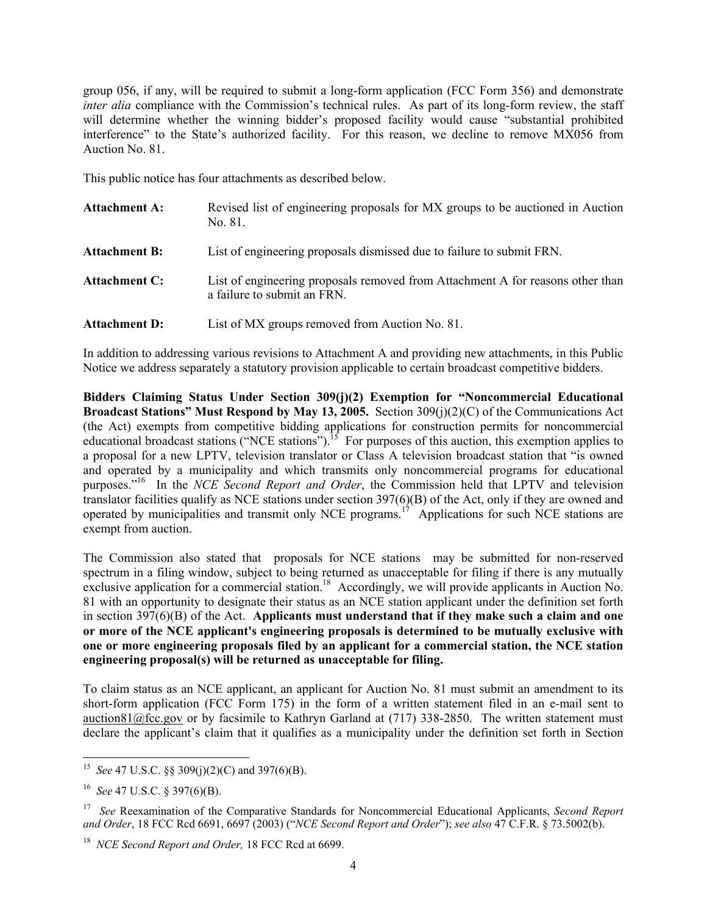group 056, if any, will be required to submit a long-form application (FCC Form 356) and demonstrate *inter alia* compliance with the Commission's technical rules. As part of its long-form review, the staff will determine whether the winning bidder's proposed facility would cause "substantial prohibited interference" to the State's authorized facility. For this reason, we decline to remove MX056 from Auction No. 81.

This public notice has four attachments as described below.

Attachment A: Revised list of engineering proposals for MX groups to be auctioned in Auction No. 81. **Attachment B:** List of engineering proposals dismissed due to failure to submit FRN. Attachment C: List of engineering proposals removed from Attachment A for reasons other than a failure to submit an FRN. Attachment D: List of MX groups removed from Auction No. 81.

In addition to addressing various revisions to Attachment A and providing new attachments, in this Public Notice we address separately a statutory provision applicable to certain broadcast competitive bidders.

**Bidders Claiming Status Under Section 309(j)(2) Exemption for "Noncommercial Educational Broadcast Stations" Must Respond by May 13, 2005.** Section 309(j)(2)(C) of the Communications Act (the Act) exempts from competitive bidding applications for construction permits for noncommercial educational broadcast stations ("NCE stations").<sup>15</sup> For purposes of this auction, this exemption applies to a proposal for a new LPTV, television translator or Class A television broadcast station that "is owned and operated by a municipality and which transmits only noncommercial programs for educational purposes."16 In the *NCE Second Report and Order*, the Commission held that LPTV and television translator facilities qualify as NCE stations under section 397(6)(B) of the Act, only if they are owned and operated by municipalities and transmit only NCE programs.17 Applications for such NCE stations are exempt from auction.

The Commission also stated that proposals for NCE stations may be submitted for non-reserved spectrum in a filing window, subject to being returned as unacceptable for filing if there is any mutually exclusive application for a commercial station.<sup>18</sup> Accordingly, we will provide applicants in Auction No. 81 with an opportunity to designate their status as an NCE station applicant under the definition set forth in section 397(6)(B) of the Act. **Applicants must understand that if they make such a claim and one or more of the NCE applicant's engineering proposals is determined to be mutually exclusive with one or more engineering proposals filed by an applicant for a commercial station, the NCE station engineering proposal(s) will be returned as unacceptable for filing.** 

To claim status as an NCE applicant, an applicant for Auction No. 81 must submit an amendment to its short-form application (FCC Form 175) in the form of a written statement filed in an e-mail sent to auction81@fcc.gov or by facsimile to Kathryn Garland at (717) 338-2850. The written statement must declare the applicant's claim that it qualifies as a municipality under the definition set forth in Section

1

<sup>15</sup> *See* 47 U.S.C. §§ 309(j)(2)(C) and 397(6)(B).

<sup>16</sup> *See* 47 U.S.C. § 397(6)(B).

<sup>17</sup> *See* Reexamination of the Comparative Standards for Noncommercial Educational Applicants, *Second Report and Order*, 18 FCC Rcd 6691, 6697 (2003) ("*NCE Second Report and Order*"); *see also* 47 C.F.R. § 73.5002(b).

<sup>18</sup> *NCE Second Report and Order,* 18 FCC Rcd at 6699.